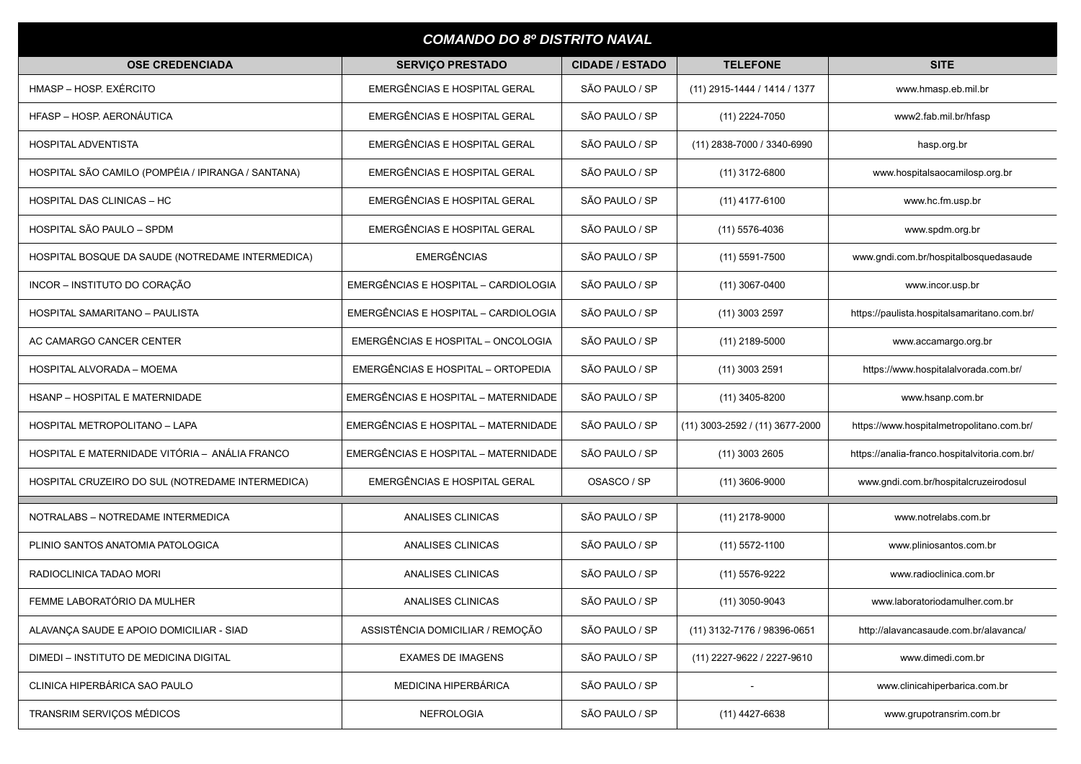| <b>COMANDO DO 8º DISTRITO NAVAL</b>                |                                      |                        |                                 |                                               |  |  |  |
|----------------------------------------------------|--------------------------------------|------------------------|---------------------------------|-----------------------------------------------|--|--|--|
| <b>OSE CREDENCIADA</b>                             | <b>SERVIÇO PRESTADO</b>              | <b>CIDADE / ESTADO</b> | <b>TELEFONE</b>                 | <b>SITE</b>                                   |  |  |  |
| HMASP - HOSP. EXÉRCITO                             | EMERGÊNCIAS E HOSPITAL GERAL         | SÃO PAULO / SP         | (11) 2915-1444 / 1414 / 1377    | www.hmasp.eb.mil.br                           |  |  |  |
| HFASP - HOSP, AERONÁUTICA                          | EMERGÊNCIAS E HOSPITAL GERAL         | SÃO PAULO / SP         | $(11)$ 2224-7050                | www2.fab.mil.br/hfasp                         |  |  |  |
| <b>HOSPITAL ADVENTISTA</b>                         | EMERGÊNCIAS E HOSPITAL GERAL         | SÃO PAULO / SP         | (11) 2838-7000 / 3340-6990      | hasp.org.br                                   |  |  |  |
| HOSPITAL SÃO CAMILO (POMPÉIA / IPIRANGA / SANTANA) | EMERGÊNCIAS E HOSPITAL GERAL         | SÃO PAULO / SP         | $(11)$ 3172-6800                | www.hospitalsaocamilosp.org.br                |  |  |  |
| HOSPITAL DAS CLINICAS - HC                         | EMERGÊNCIAS E HOSPITAL GERAL         | SÃO PAULO / SP         | $(11)$ 4177-6100                | www.hc.fm.usp.br                              |  |  |  |
| HOSPITAL SÃO PAULO - SPDM                          | EMERGÊNCIAS E HOSPITAL GERAL         | SÃO PAULO / SP         | $(11)$ 5576-4036                | www.spdm.org.br                               |  |  |  |
| HOSPITAL BOSQUE DA SAUDE (NOTREDAME INTERMEDICA)   | <b>EMERGÊNCIAS</b>                   | SÃO PAULO / SP         | $(11)$ 5591-7500                | www.gndi.com.br/hospitalbosquedasaude         |  |  |  |
| INCOR - INSTITUTO DO CORAÇÃO                       | EMERGÊNCIAS E HOSPITAL - CARDIOLOGIA | SÃO PAULO / SP         | $(11)$ 3067-0400                | www.incor.usp.br                              |  |  |  |
| HOSPITAL SAMARITANO - PAULISTA                     | EMERGÊNCIAS E HOSPITAL - CARDIOLOGIA | SÃO PAULO / SP         | $(11)$ 3003 2597                | https://paulista.hospitalsamaritano.com.br/   |  |  |  |
| AC CAMARGO CANCER CENTER                           | EMERGÊNCIAS E HOSPITAL - ONCOLOGIA   | SÃO PAULO / SP         | $(11)$ 2189-5000                | www.accamargo.org.br                          |  |  |  |
| HOSPITAL ALVORADA - MOEMA                          | EMERGÊNCIAS E HOSPITAL - ORTOPEDIA   | SÃO PAULO / SP         | $(11)$ 3003 2591                | https://www.hospitalalvorada.com.br/          |  |  |  |
| <b>HSANP - HOSPITAL E MATERNIDADE</b>              | EMERGÊNCIAS E HOSPITAL - MATERNIDADE | SÃO PAULO / SP         | $(11)$ 3405-8200                | www.hsanp.com.br                              |  |  |  |
| HOSPITAL METROPOLITANO - LAPA                      | EMERGÊNCIAS E HOSPITAL - MATERNIDADE | SÃO PAULO / SP         | (11) 3003-2592 / (11) 3677-2000 | https://www.hospitalmetropolitano.com.br/     |  |  |  |
| HOSPITAL E MATERNIDADE VITÓRIA - ANÁLIA FRANCO     | EMERGÊNCIAS E HOSPITAL - MATERNIDADE | SÃO PAULO / SP         | $(11)$ 3003 2605                | https://analia-franco.hospitalvitoria.com.br/ |  |  |  |
| HOSPITAL CRUZEIRO DO SUL (NOTREDAME INTERMEDICA)   | EMERGÊNCIAS E HOSPITAL GERAL         | OSASCO / SP            | $(11)$ 3606-9000                | www.gndi.com.br/hospitalcruzeirodosul         |  |  |  |
| NOTRALABS - NOTREDAME INTERMEDICA                  | ANALISES CLINICAS                    | SÃO PAULO / SP         | $(11)$ 2178-9000                | www.notrelabs.com.br                          |  |  |  |
| PLINIO SANTOS ANATOMIA PATOLOGICA                  | ANALISES CLINICAS                    | SÃO PAULO / SP         | $(11)$ 5572-1100                | www.pliniosantos.com.br                       |  |  |  |
| RADIOCLINICA TADAO MORI                            | ANALISES CLINICAS                    | SÃO PAULO / SP         | (11) 5576-9222                  | www.radioclinica.com.br                       |  |  |  |
| FEMME LABORATÓRIO DA MULHER                        | <b>ANALISES CLINICAS</b>             | SÃO PAULO / SP         | $(11)$ 3050-9043                | www.laboratoriodamulher.com.br                |  |  |  |
| ALAVANCA SAUDE E APOIO DOMICILIAR - SIAD           | ASSISTÊNCIA DOMICILIAR / REMOÇÃO     | SÃO PAULO / SP         | (11) 3132-7176 / 98396-0651     | http://alavancasaude.com.br/alavanca/         |  |  |  |
| DIMEDI - INSTITUTO DE MEDICINA DIGITAL             | <b>EXAMES DE IMAGENS</b>             | SÃO PAULO / SP         | (11) 2227-9622 / 2227-9610      | www.dimedi.com.br                             |  |  |  |
| CLINICA HIPERBÁRICA SAO PAULO                      | MEDICINA HIPERBÁRICA                 | SÃO PAULO / SP         |                                 | www.clinicahiperbarica.com.br                 |  |  |  |
| TRANSRIM SERVIÇOS MÉDICOS                          | <b>NEFROLOGIA</b>                    | SÃO PAULO / SP         | $(11)$ 4427-6638                | www.grupotransrim.com.br                      |  |  |  |